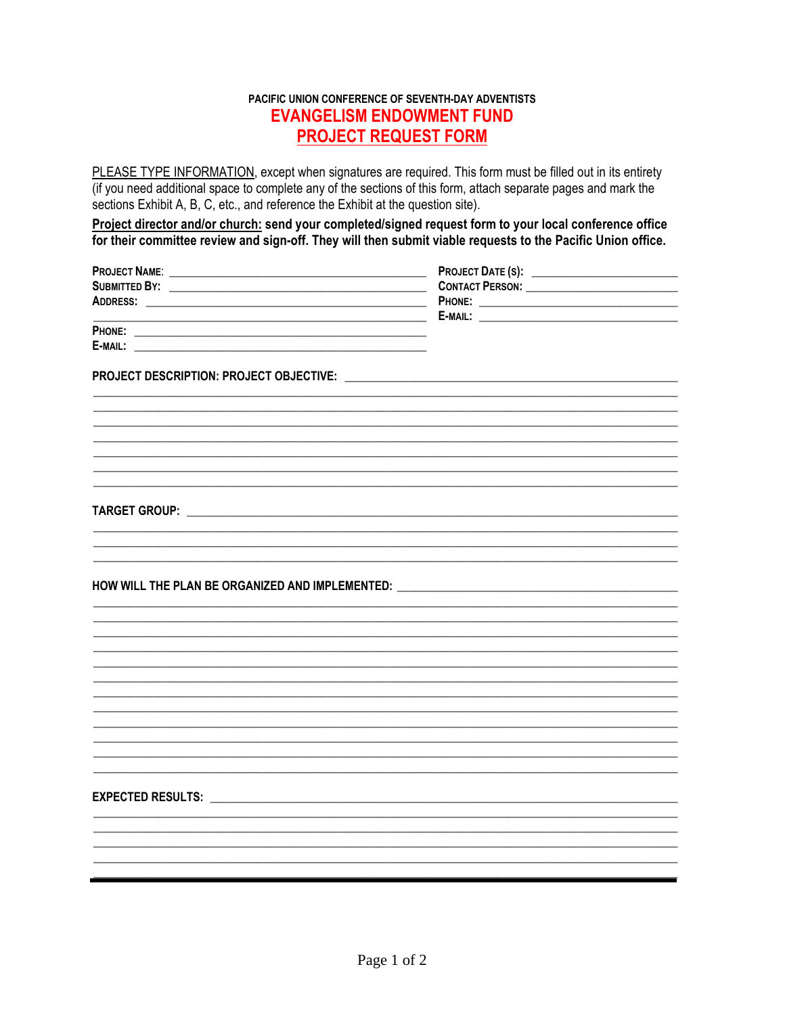# PACIFIC UNION CONFERENCE OF SEVENTH-DAY ADVENTISTS **EVANGELISM ENDOWMENT FUND PROJECT REQUEST FORM**

PLEASE TYPE INFORMATION, except when signatures are required. This form must be filled out in its entirety (if you need additional space to complete any of the sections of this form, attach separate pages and mark the sections Exhibit A, B, C, etc., and reference the Exhibit at the question site).

Project director and/or church: send your completed/signed request form to your local conference office for their committee review and sign-off. They will then submit viable requests to the Pacific Union office.

| <b>PROJECT NAME:</b> | <b>PROJECT DATE (S):</b> |
|----------------------|--------------------------|
| <b>SUBMITTED BY:</b> | <b>CONTACT PERSON:</b>   |
| ADDRESS:             | PHONE:                   |
|                      | E-MAIL:                  |
| PHONE:               |                          |
| E-MAIL:              |                          |

#### HOW WILL THE PLAN BE ORGANIZED AND IMPLEMENTED:

###